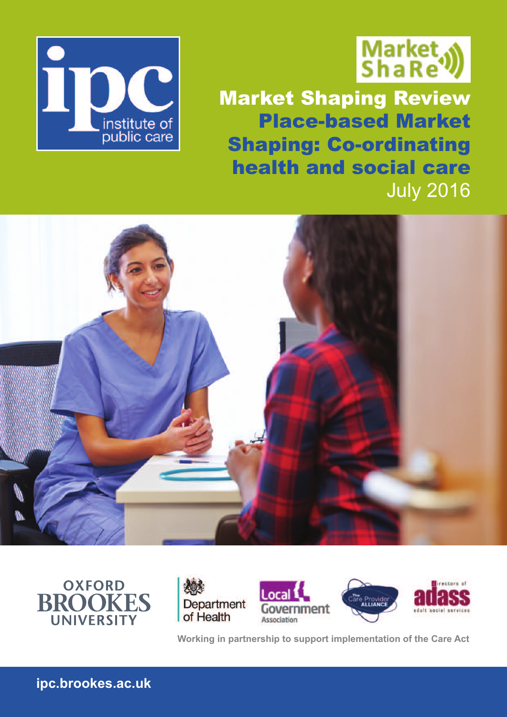



Market Shaping Review Place-based Market Shaping: Co-ordinating health and social care July 2016







**Working in partnership to support implementation of the Care Act**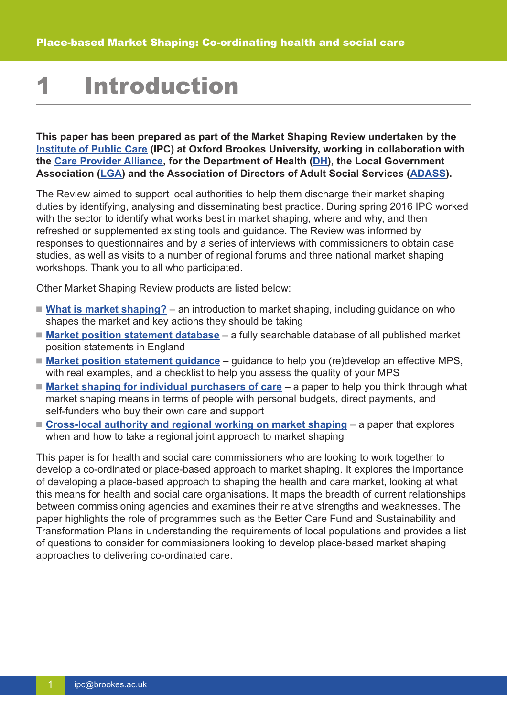## **Introduction**

**This paper has been prepared as part of the Market Shaping Review undertaken by the [Institute](http://ipc.brookes.ac.uk/what-we-do/market-shaping.html) of Public Care (IPC) at Oxford Brookes University, working in collaboration with the Care [Provider](http://www.careproviders.org.uk/) Alliance, for the Department of Health [\(DH\)](https://www.gov.uk/government/organisations/department-of-health), the Local Government Association [\(LGA\)](http://www.local.gov.uk/care-support-reform) and the Association of Directors of Adult Social Services [\(ADASS\)](https://www.adass.org.uk/home/).**

The Review aimed to support local authorities to help them discharge their market shaping duties by identifying, analysing and disseminating best practice. During spring 2016 IPC worked with the sector to identify what works best in market shaping, where and why, and then refreshed or supplemented existing tools and guidance. The Review was informed by responses to questionnaires and by a series of interviews with commissioners to obtain case studies, as well as visits to a number of regional forums and three national market shaping workshops. Thank you to all who participated.

Other Market Shaping Review products are listed below:

- What is market [shaping?](http://ipc.brookes.ac.uk/what-we-do/market-shaping.html) an introduction to market shaping, including guidance on who shapes the market and key actions they should be taking
- **Market position [statement](http://ipc.brookes.ac.uk/what-we-do/market-shaping/market-position-statement-database.html) database** a fully searchable database of all published market position statements in England
- **Market position [statement](http://ipc.brookes.ac.uk/what-we-do/market-shaping/market-position-statements.html) quidance** guidance to help you (re)develop an effective MPS, with real examples, and a checklist to help you assess the quality of your MPS
- Market shaping for individual [purchasers](http://ipc.brookes.ac.uk/what-we-do/market-shaping/Individual_purchasing.html) of care a paper to help you think through what market shaping means in terms of people with personal budgets, direct payments, and self-funders who buy their own care and support
- **[Cross-local](http://ipc.brookes.ac.uk/what-we-do/market-shaping/joint-market-shaping.html) authority and regional working on market shaping** a paper that explores when and how to take a regional joint approach to market shaping

This paper is for health and social care commissioners who are looking to work together to develop a co-ordinated or place-based approach to market shaping. It explores the importance of developing a place-based approach to shaping the health and care market, looking at what this means for health and social care organisations. It maps the breadth of current relationships between commissioning agencies and examines their relative strengths and weaknesses. The paper highlights the role of programmes such as the Better Care Fund and Sustainability and Transformation Plans in understanding the requirements of local populations and provides a list of questions to consider for commissioners looking to develop place-based market shaping approaches to delivering co-ordinated care.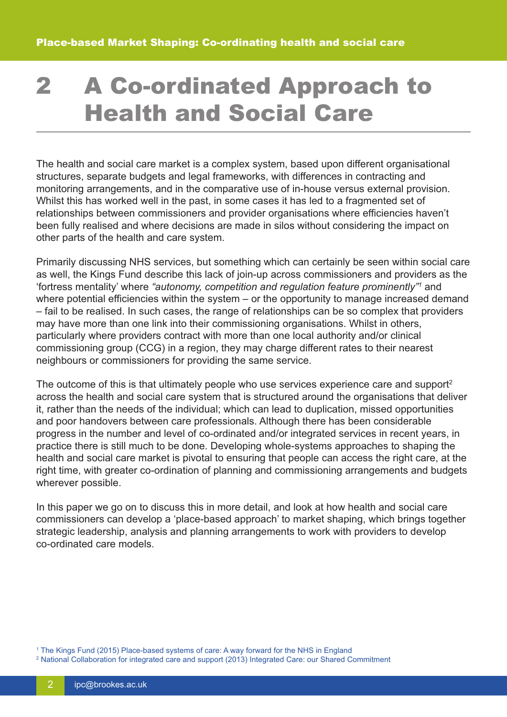## 2 A Co-ordinated Approach to Health and Social Care

The health and social care market is a complex system, based upon different organisational structures, separate budgets and legal frameworks, with differences in contracting and monitoring arrangements, and in the comparative use of in-house versus external provision. Whilst this has worked well in the past, in some cases it has led to a fragmented set of relationships between commissioners and provider organisations where efficiencies haven't been fully realised and where decisions are made in silos without considering the impact on other parts of the health and care system.

Primarily discussing NHS services, but something which can certainly be seen within social care as well, the Kings Fund describe this lack of join-up across commissioners and providers as the 'fortress mentality' where *"autonomy, competition and regulation feature prominently"1* and where potential efficiencies within the system – or the opportunity to manage increased demand – fail to be realised. In such cases, the range of relationships can be so complex that providers may have more than one link into their commissioning organisations. Whilst in others, particularly where providers contract with more than one local authority and/or clinical commissioning group (CCG) in a region, they may charge different rates to their nearest neighbours or commissioners for providing the same service.

The outcome of this is that ultimately people who use services experience care and support<sup>2</sup> across the health and social care system that is structured around the organisations that deliver it, rather than the needs of the individual; which can lead to duplication, missed opportunities and poor handovers between care professionals. Although there has been considerable progress in the number and level of co-ordinated and/or integrated services in recent years, in practice there is still much to be done. Developing whole-systems approaches to shaping the health and social care market is pivotal to ensuring that people can access the right care, at the right time, with greater co-ordination of planning and commissioning arrangements and budgets wherever possible.

In this paper we go on to discuss this in more detail, and look at how health and social care commissioners can develop a 'place-based approach' to market shaping, which brings together strategic leadership, analysis and planning arrangements to work with providers to develop co-ordinated care models.

<sup>1</sup> The Kings Fund (2015) Place-based systems of care: A way forward for the NHS in England

<sup>2</sup> National Collaboration for integrated care and support (2013) Integrated Care: our Shared Commitment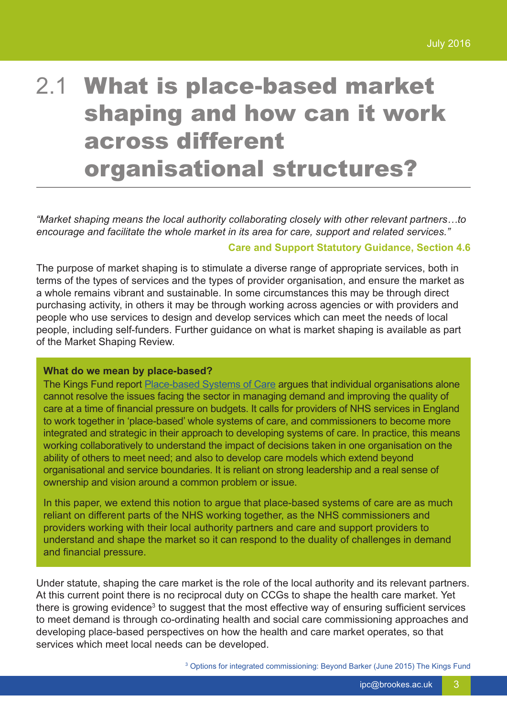## 2.1 What is place-based market shaping and how can it work across different organisational structures?

*"Market shaping means the local authority collaborating closely with other relevant partners…to encourage and facilitate the whole market in its area for care, support and related services."*

#### **Care and Support Statutory Guidance, Section 4.6**

The purpose of market shaping is to stimulate a diverse range of appropriate services, both in terms of the types of services and the types of provider organisation, and ensure the market as a whole remains vibrant and sustainable. In some circumstances this may be through direct purchasing activity, in others it may be through working across agencies or with providers and people who use services to design and develop services which can meet the needs of local people, including self-funders. Further guidance on what is market shaping is available as part of the Market Shaping Review.

#### **What do we mean by place-based?**

The Kings Fund report [Place-based](http://www.kingsfund.org.uk/publications/place-based-systems-care) Systems of Care argues that individual organisations alone cannot resolve the issues facing the sector in managing demand and improving the quality of care at a time of financial pressure on budgets. It calls for providers of NHS services in England to work together in 'place-based' whole systems of care, and commissioners to become more integrated and strategic in their approach to developing systems of care. In practice, this means working collaboratively to understand the impact of decisions taken in one organisation on the ability of others to meet need; and also to develop care models which extend beyond organisational and service boundaries. It is reliant on strong leadership and a real sense of ownership and vision around a common problem or issue.

In this paper, we extend this notion to argue that place-based systems of care are as much reliant on different parts of the NHS working together, as the NHS commissioners and providers working with their local authority partners and care and support providers to understand and shape the market so it can respond to the duality of challenges in demand and financial pressure.

Under statute, shaping the care market is the role of the local authority and its relevant partners. At this current point there is no reciprocal duty on CCGs to shape the health care market. Yet there is growing evidence<sup>3</sup> to suggest that the most effective way of ensuring sufficient services to meet demand is through co-ordinating health and social care commissioning approaches and developing place-based perspectives on how the health and care market operates, so that services which meet local needs can be developed.

<sup>3</sup> Options for integrated commissioning: Beyond Barker (June 2015) The Kings Fund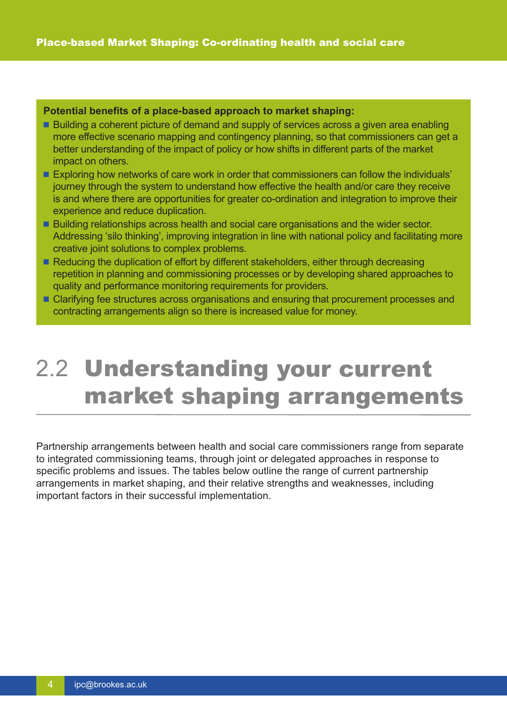#### **Potential benefits of a place-based approach to market shaping:**

- Building a coherent picture of demand and supply of services across a given area enabling more effective scenario mapping and contingency planning, so that commissioners can get a better understanding of the impact of policy or how shifts in different parts of the market impact on others.
- Exploring how networks of care work in order that commissioners can follow the individuals' journey through the system to understand how effective the health and/or care they receive is and where there are opportunities for greater co-ordination and integration to improve their experience and reduce duplication.
- Building relationships across health and social care organisations and the wider sector. Addressing 'silo thinking', improving integration in line with national policy and facilitating more creative joint solutions to complex problems.
- Reducing the duplication of effort by different stakeholders, either through decreasing repetition in planning and commissioning processes or by developing shared approaches to quality and performance monitoring requirements for providers.
- Clarifying fee structures across organisations and ensuring that procurement processes and contracting arrangements align so there is increased value for money.

### 2.2 Understanding your current market shaping arrangements

Partnership arrangements between health and social care commissioners range from separate to integrated commissioning teams, through joint or delegated approaches in response to specific problems and issues. The tables below outline the range of current partnership arrangements in market shaping, and their relative strengths and weaknesses, including important factors in their successful implementation.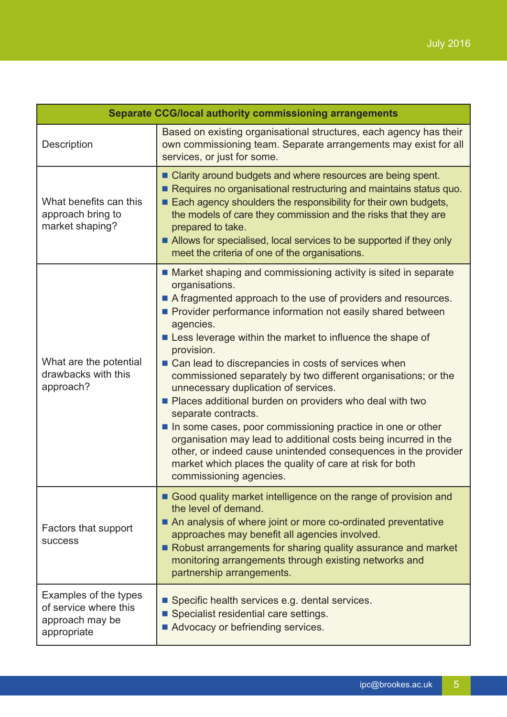| <b>Separate CCG/local authority commissioning arrangements</b>                   |                                                                                                                                                                                                                                                                                                                                                                                                                                                                                                                                                                                                                                                                                                                                                                                                                                                           |  |
|----------------------------------------------------------------------------------|-----------------------------------------------------------------------------------------------------------------------------------------------------------------------------------------------------------------------------------------------------------------------------------------------------------------------------------------------------------------------------------------------------------------------------------------------------------------------------------------------------------------------------------------------------------------------------------------------------------------------------------------------------------------------------------------------------------------------------------------------------------------------------------------------------------------------------------------------------------|--|
| Description                                                                      | Based on existing organisational structures, each agency has their<br>own commissioning team. Separate arrangements may exist for all<br>services, or just for some.                                                                                                                                                                                                                                                                                                                                                                                                                                                                                                                                                                                                                                                                                      |  |
| What benefits can this<br>approach bring to<br>market shaping?                   | ■ Clarity around budgets and where resources are being spent.<br>Requires no organisational restructuring and maintains status quo.<br>Each agency shoulders the responsibility for their own budgets,<br>the models of care they commission and the risks that they are<br>prepared to take.<br>■ Allows for specialised, local services to be supported if they only<br>meet the criteria of one of the organisations.                                                                                                                                                                                                                                                                                                                                                                                                                                  |  |
| What are the potential<br>drawbacks with this<br>approach?                       | ■ Market shaping and commissioning activity is sited in separate<br>organisations.<br>A fragmented approach to the use of providers and resources.<br>Provider performance information not easily shared between<br>agencies.<br>■ Less leverage within the market to influence the shape of<br>provision.<br>■ Can lead to discrepancies in costs of services when<br>commissioned separately by two different organisations; or the<br>unnecessary duplication of services.<br>Places additional burden on providers who deal with two<br>separate contracts.<br>In some cases, poor commissioning practice in one or other<br>organisation may lead to additional costs being incurred in the<br>other, or indeed cause unintended consequences in the provider<br>market which places the quality of care at risk for both<br>commissioning agencies. |  |
| Factors that support<br><b>SUCCESS</b>                                           | Good quality market intelligence on the range of provision and<br>the level of demand.<br>An analysis of where joint or more co-ordinated preventative<br>approaches may benefit all agencies involved.<br>Robust arrangements for sharing quality assurance and market<br>monitoring arrangements through existing networks and<br>partnership arrangements.                                                                                                                                                                                                                                                                                                                                                                                                                                                                                             |  |
| Examples of the types<br>of service where this<br>approach may be<br>appropriate | Specific health services e.g. dental services.<br>Specialist residential care settings.<br>Advocacy or befriending services.                                                                                                                                                                                                                                                                                                                                                                                                                                                                                                                                                                                                                                                                                                                              |  |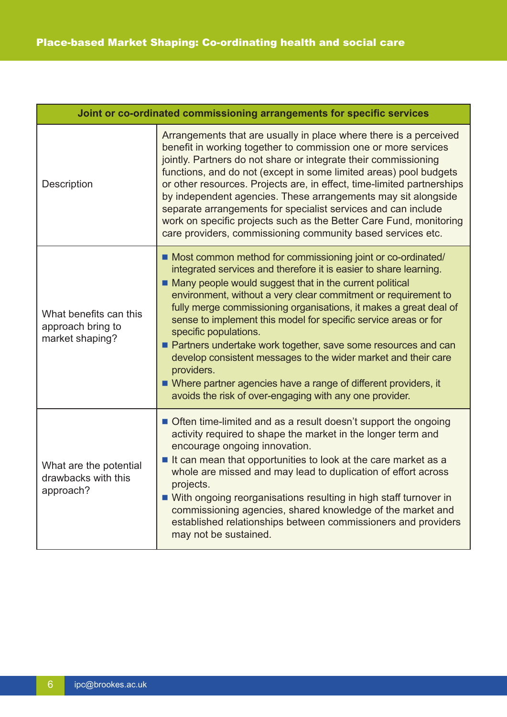| Joint or co-ordinated commissioning arrangements for specific services |                                                                                                                                                                                                                                                                                                                                                                                                                                                                                                                                                                                                                                                                                                                    |
|------------------------------------------------------------------------|--------------------------------------------------------------------------------------------------------------------------------------------------------------------------------------------------------------------------------------------------------------------------------------------------------------------------------------------------------------------------------------------------------------------------------------------------------------------------------------------------------------------------------------------------------------------------------------------------------------------------------------------------------------------------------------------------------------------|
| Description                                                            | Arrangements that are usually in place where there is a perceived<br>benefit in working together to commission one or more services<br>jointly. Partners do not share or integrate their commissioning<br>functions, and do not (except in some limited areas) pool budgets<br>or other resources. Projects are, in effect, time-limited partnerships<br>by independent agencies. These arrangements may sit alongside<br>separate arrangements for specialist services and can include<br>work on specific projects such as the Better Care Fund, monitoring<br>care providers, commissioning community based services etc.                                                                                       |
| What benefits can this<br>approach bring to<br>market shaping?         | ■ Most common method for commissioning joint or co-ordinated/<br>integrated services and therefore it is easier to share learning.<br>■ Many people would suggest that in the current political<br>environment, without a very clear commitment or requirement to<br>fully merge commissioning organisations, it makes a great deal of<br>sense to implement this model for specific service areas or for<br>specific populations.<br>Partners undertake work together, save some resources and can<br>develop consistent messages to the wider market and their care<br>providers.<br>■ Where partner agencies have a range of different providers, it<br>avoids the risk of over-engaging with any one provider. |
| What are the potential<br>drawbacks with this<br>approach?             | Often time-limited and as a result doesn't support the ongoing<br>activity required to shape the market in the longer term and<br>encourage ongoing innovation.<br>If can mean that opportunities to look at the care market as a<br>whole are missed and may lead to duplication of effort across<br>projects.<br>■ With ongoing reorganisations resulting in high staff turnover in<br>commissioning agencies, shared knowledge of the market and<br>established relationships between commissioners and providers<br>may not be sustained.                                                                                                                                                                      |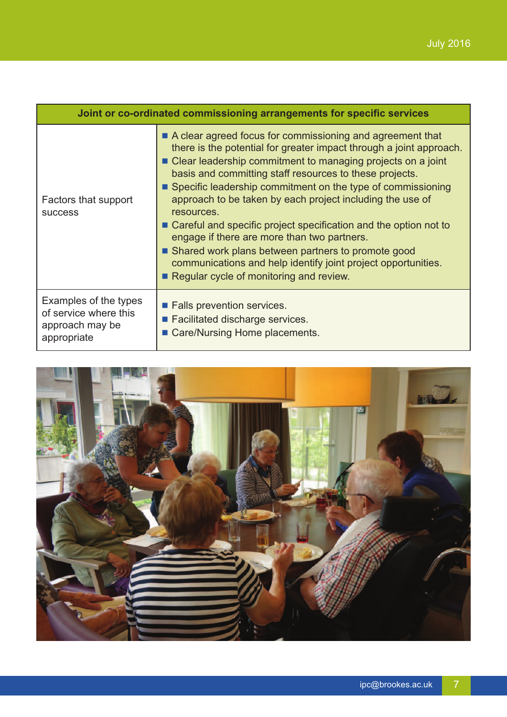| Joint or co-ordinated commissioning arrangements for specific services           |                                                                                                                                                                                                                                                                                                                                                                                                                                                                                                                                                                                                                                                                                                   |
|----------------------------------------------------------------------------------|---------------------------------------------------------------------------------------------------------------------------------------------------------------------------------------------------------------------------------------------------------------------------------------------------------------------------------------------------------------------------------------------------------------------------------------------------------------------------------------------------------------------------------------------------------------------------------------------------------------------------------------------------------------------------------------------------|
| Factors that support<br><b>SUCCESS</b>                                           | A clear agreed focus for commissioning and agreement that<br>there is the potential for greater impact through a joint approach.<br>■ Clear leadership commitment to managing projects on a joint<br>basis and committing staff resources to these projects.<br>■ Specific leadership commitment on the type of commissioning<br>approach to be taken by each project including the use of<br>resources.<br>■ Careful and specific project specification and the option not to<br>engage if there are more than two partners.<br>■ Shared work plans between partners to promote good<br>communications and help identify joint project opportunities.<br>Regular cycle of monitoring and review. |
| Examples of the types<br>of service where this<br>approach may be<br>appropriate | <b>Example Falls prevention services.</b><br>Facilitated discharge services.<br>Care/Nursing Home placements.                                                                                                                                                                                                                                                                                                                                                                                                                                                                                                                                                                                     |

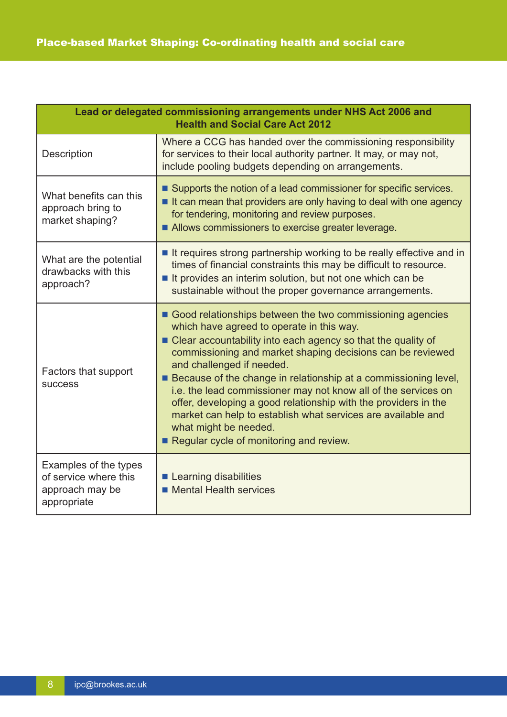| Lead or delegated commissioning arrangements under NHS Act 2006 and<br><b>Health and Social Care Act 2012</b> |                                                                                                                                                                                                                                                                                                                                                                                                                                                                                                                                                                                                                   |  |
|---------------------------------------------------------------------------------------------------------------|-------------------------------------------------------------------------------------------------------------------------------------------------------------------------------------------------------------------------------------------------------------------------------------------------------------------------------------------------------------------------------------------------------------------------------------------------------------------------------------------------------------------------------------------------------------------------------------------------------------------|--|
| <b>Description</b>                                                                                            | Where a CCG has handed over the commissioning responsibility<br>for services to their local authority partner. It may, or may not,<br>include pooling budgets depending on arrangements.                                                                                                                                                                                                                                                                                                                                                                                                                          |  |
| What benefits can this<br>approach bring to<br>market shaping?                                                | ■ Supports the notion of a lead commissioner for specific services.<br>If can mean that providers are only having to deal with one agency<br>for tendering, monitoring and review purposes.<br>Allows commissioners to exercise greater leverage.                                                                                                                                                                                                                                                                                                                                                                 |  |
| What are the potential<br>drawbacks with this<br>approach?                                                    | If requires strong partnership working to be really effective and in<br>times of financial constraints this may be difficult to resource.<br>If provides an interim solution, but not one which can be<br>sustainable without the proper governance arrangements.                                                                                                                                                                                                                                                                                                                                                 |  |
| Factors that support<br><b>SUCCESS</b>                                                                        | Good relationships between the two commissioning agencies<br>which have agreed to operate in this way.<br>■ Clear accountability into each agency so that the quality of<br>commissioning and market shaping decisions can be reviewed<br>and challenged if needed.<br>■ Because of the change in relationship at a commissioning level,<br>i.e. the lead commissioner may not know all of the services on<br>offer, developing a good relationship with the providers in the<br>market can help to establish what services are available and<br>what might be needed.<br>Regular cycle of monitoring and review. |  |
| Examples of the types<br>of service where this<br>approach may be<br>appropriate                              | <b>Learning disabilities</b><br><b>Mental Health services</b>                                                                                                                                                                                                                                                                                                                                                                                                                                                                                                                                                     |  |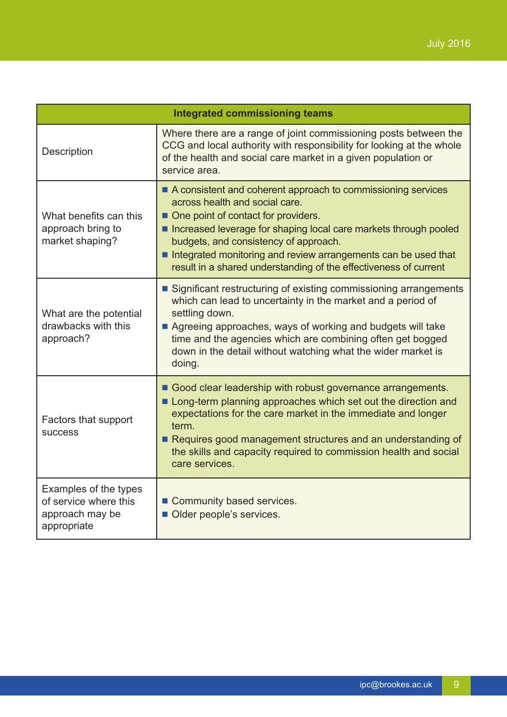| <b>Integrated commissioning teams</b>                                            |                                                                                                                                                                                                                                                                                                                                                                                              |  |
|----------------------------------------------------------------------------------|----------------------------------------------------------------------------------------------------------------------------------------------------------------------------------------------------------------------------------------------------------------------------------------------------------------------------------------------------------------------------------------------|--|
| Description                                                                      | Where there are a range of joint commissioning posts between the<br>CCG and local authority with responsibility for looking at the whole<br>of the health and social care market in a given population or<br>service area.                                                                                                                                                                   |  |
| What benefits can this<br>approach bring to<br>market shaping?                   | ■ A consistent and coherent approach to commissioning services<br>across health and social care.<br>• One point of contact for providers.<br>Increased leverage for shaping local care markets through pooled<br>budgets, and consistency of approach.<br>Integrated monitoring and review arrangements can be used that<br>result in a shared understanding of the effectiveness of current |  |
| What are the potential<br>drawbacks with this<br>approach?                       | ■ Significant restructuring of existing commissioning arrangements<br>which can lead to uncertainty in the market and a period of<br>settling down.<br>Agreeing approaches, ways of working and budgets will take<br>time and the agencies which are combining often get bogged<br>down in the detail without watching what the wider market is<br>doing.                                    |  |
| Factors that support<br><b>SUCCESS</b>                                           | Good clear leadership with robust governance arrangements.<br>Long-term planning approaches which set out the direction and<br>expectations for the care market in the immediate and longer<br>term.<br>Requires good management structures and an understanding of<br>the skills and capacity required to commission health and social<br>care services.                                    |  |
| Examples of the types<br>of service where this<br>approach may be<br>appropriate | Community based services.<br>Older people's services.                                                                                                                                                                                                                                                                                                                                        |  |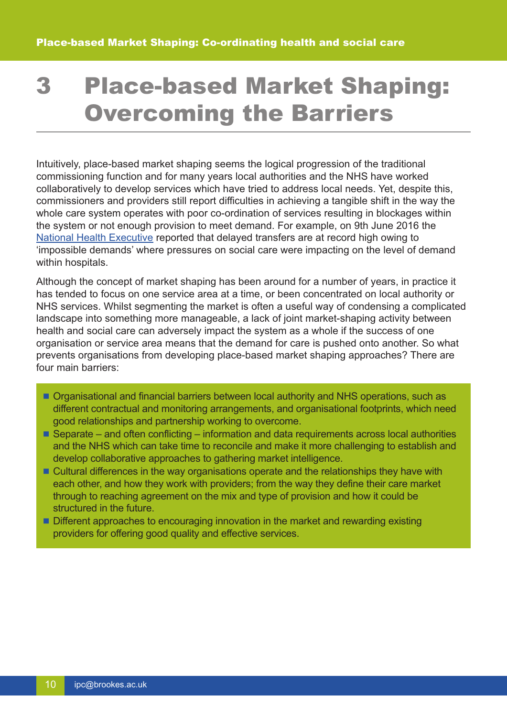## 3 Place-based Market Shaping: Overcoming the Barriers

Intuitively, place-based market shaping seems the logical progression of the traditional commissioning function and for many years local authorities and the NHS have worked collaboratively to develop services which have tried to address local needs. Yet, despite this, commissioners and providers still report difficulties in achieving a tangible shift in the way the whole care system operates with poor co-ordination of services resulting in blockages within the system or not enough provision to meet demand. For example, on 9th June 2016 the National Health [Executive](http://www.nationalhealthexecutive.com/Health-Care-News/delayed-transfers-at-highest-level-as-nhs-fails-to-meet-impossible-demands) reported that delayed transfers are at record high owing to 'impossible demands' where pressures on social care were impacting on the level of demand within hospitals.

Although the concept of market shaping has been around for a number of years, in practice it has tended to focus on one service area at a time, or been concentrated on local authority or NHS services. Whilst segmenting the market is often a useful way of condensing a complicated landscape into something more manageable, a lack of joint market-shaping activity between health and social care can adversely impact the system as a whole if the success of one organisation or service area means that the demand for care is pushed onto another. So what prevents organisations from developing place-based market shaping approaches? There are four main barriers:

- Organisational and financial barriers between local authority and NHS operations, such as different contractual and monitoring arrangements, and organisational footprints, which need good relationships and partnership working to overcome.
- $\blacksquare$  Separate and often conflicting information and data requirements across local authorities and the NHS which can take time to reconcile and make it more challenging to establish and develop collaborative approaches to gathering market intelligence.
- Cultural differences in the way organisations operate and the relationships they have with each other, and how they work with providers; from the way they define their care market through to reaching agreement on the mix and type of provision and how it could be structured in the future.
- Different approaches to encouraging innovation in the market and rewarding existing providers for offering good quality and effective services.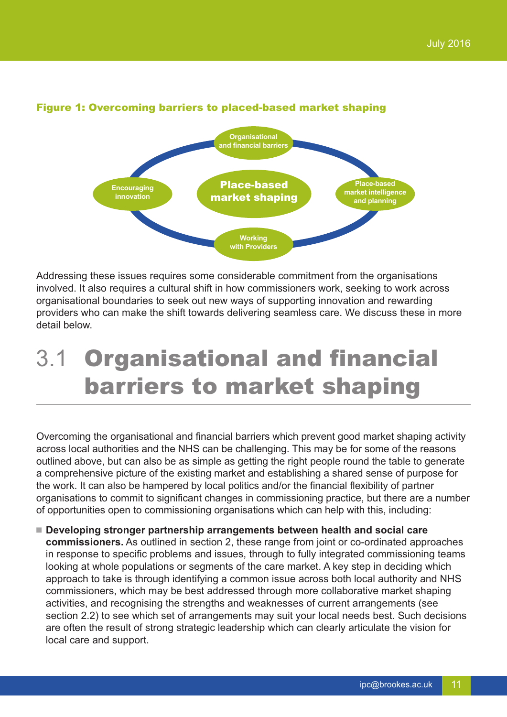

### Figure 1: Overcoming barriers to placed-based market shaping

Addressing these issues requires some considerable commitment from the organisations involved. It also requires a cultural shift in how commissioners work, seeking to work across organisational boundaries to seek out new ways of supporting innovation and rewarding providers who can make the shift towards delivering seamless care. We discuss these in more detail below.

## 3.1 Organisational and financial barriers to market shaping

Overcoming the organisational and financial barriers which prevent good market shaping activity across local authorities and the NHS can be challenging. This may be for some of the reasons outlined above, but can also be as simple as getting the right people round the table to generate a comprehensive picture of the existing market and establishing a shared sense of purpose for the work. It can also be hampered by local politics and/or the financial flexibility of partner organisations to commit to significant changes in commissioning practice, but there are a number of opportunities open to commissioning organisations which can help with this, including:

 **Developing stronger partnership arrangements between health and social care commissioners.** As outlined in section 2, these range from joint or co-ordinated approaches in response to specific problems and issues, through to fully integrated commissioning teams looking at whole populations or segments of the care market. A key step in deciding which approach to take is through identifying a common issue across both local authority and NHS commissioners, which may be best addressed through more collaborative market shaping activities, and recognising the strengths and weaknesses of current arrangements (see section 2.2) to see which set of arrangements may suit your local needs best. Such decisions are often the result of strong strategic leadership which can clearly articulate the vision for local care and support.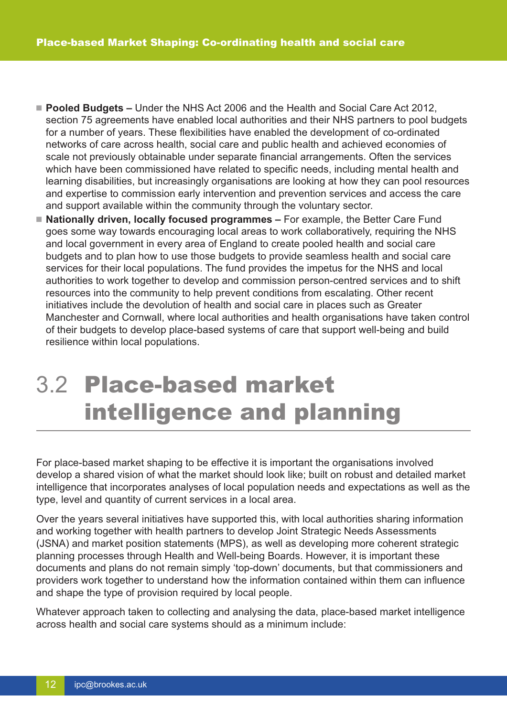- **Pooled Budgets –** Under the NHS Act 2006 and the Health and Social Care Act 2012, section 75 agreements have enabled local authorities and their NHS partners to pool budgets for a number of years. These flexibilities have enabled the development of co-ordinated networks of care across health, social care and public health and achieved economies of scale not previously obtainable under separate financial arrangements. Often the services which have been commissioned have related to specific needs, including mental health and learning disabilities, but increasingly organisations are looking at how they can pool resources and expertise to commission early intervention and prevention services and access the care and support available within the community through the voluntary sector.
- **Nationally driven, locally focused programmes –** For example, the Better Care Fund goes some way towards encouraging local areas to work collaboratively, requiring the NHS and local government in every area of England to create pooled health and social care budgets and to plan how to use those budgets to provide seamless health and social care services for their local populations. The fund provides the impetus for the NHS and local authorities to work together to develop and commission person-centred services and to shift resources into the community to help prevent conditions from escalating. Other recent initiatives include the devolution of health and social care in places such as Greater Manchester and Cornwall, where local authorities and health organisations have taken control of their budgets to develop place-based systems of care that support well-being and build resilience within local populations.

### 3.2 Place-based market intelligence and planning

For place-based market shaping to be effective it is important the organisations involved develop a shared vision of what the market should look like; built on robust and detailed market intelligence that incorporates analyses of local population needs and expectations as well as the type, level and quantity of current services in a local area.

Over the years several initiatives have supported this, with local authorities sharing information and working together with health partners to develop Joint Strategic Needs Assessments (JSNA) and market position statements (MPS), as well as developing more coherent strategic planning processes through Health and Well-being Boards. However, it is important these documents and plans do not remain simply 'top-down' documents, but that commissioners and providers work together to understand how the information contained within them can influence and shape the type of provision required by local people.

Whatever approach taken to collecting and analysing the data, place-based market intelligence across health and social care systems should as a minimum include: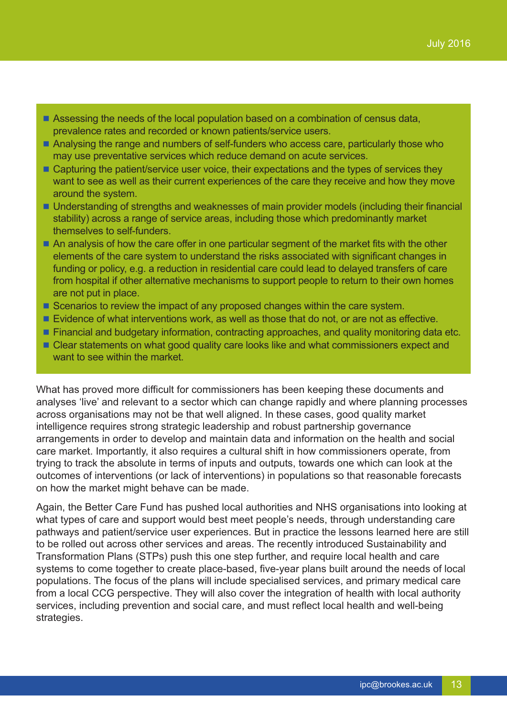- Assessing the needs of the local population based on a combination of census data, prevalence rates and recorded or known patients/service users.
- Analysing the range and numbers of self-funders who access care, particularly those who may use preventative services which reduce demand on acute services.
- Capturing the patient/service user voice, their expectations and the types of services they want to see as well as their current experiences of the care they receive and how they move around the system.
- Understanding of strengths and weaknesses of main provider models (including their financial stability) across a range of service areas, including those which predominantly market themselves to self-funders.
- An analysis of how the care offer in one particular segment of the market fits with the other elements of the care system to understand the risks associated with significant changes in funding or policy, e.g. a reduction in residential care could lead to delayed transfers of care from hospital if other alternative mechanisms to support people to return to their own homes are not put in place.
- Scenarios to review the impact of any proposed changes within the care system.
- Evidence of what interventions work, as well as those that do not, or are not as effective.
- **Financial and budgetary information, contracting approaches, and quality monitoring data etc.**
- Clear statements on what good quality care looks like and what commissioners expect and want to see within the market.

What has proved more difficult for commissioners has been keeping these documents and analyses 'live' and relevant to a sector which can change rapidly and where planning processes across organisations may not be that well aligned. In these cases, good quality market intelligence requires strong strategic leadership and robust partnership governance arrangements in order to develop and maintain data and information on the health and social care market. Importantly, it also requires a cultural shift in how commissioners operate, from trying to track the absolute in terms of inputs and outputs, towards one which can look at the outcomes of interventions (or lack of interventions) in populations so that reasonable forecasts on how the market might behave can be made.

Again, the Better Care Fund has pushed local authorities and NHS organisations into looking at what types of care and support would best meet people's needs, through understanding care pathways and patient/service user experiences. But in practice the lessons learned here are still to be rolled out across other services and areas. The recently introduced Sustainability and Transformation Plans (STPs) push this one step further, and require local health and care systems to come together to create place-based, five-year plans built around the needs of local populations. The focus of the plans will include specialised services, and primary medical care from a local CCG perspective. They will also cover the integration of health with local authority services, including prevention and social care, and must reflect local health and well-being strategies.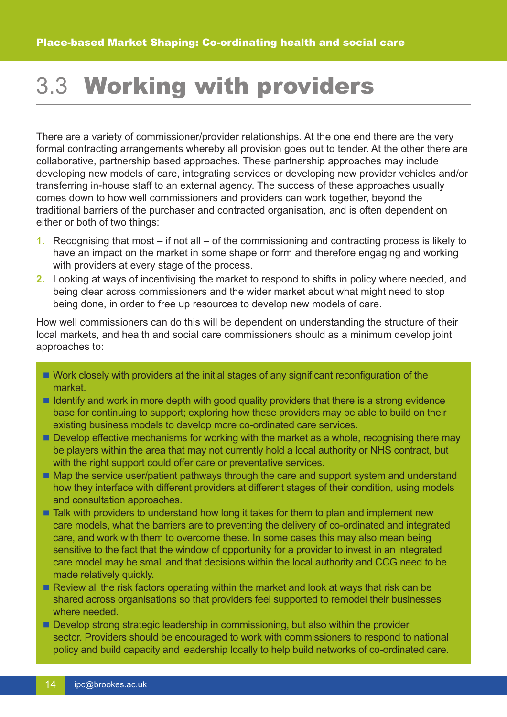### 3.3 Working with providers

There are a variety of commissioner/provider relationships. At the one end there are the very formal contracting arrangements whereby all provision goes out to tender. At the other there are collaborative, partnership based approaches. These partnership approaches may include developing new models of care, integrating services or developing new provider vehicles and/or transferring in-house staff to an external agency. The success of these approaches usually comes down to how well commissioners and providers can work together, beyond the traditional barriers of the purchaser and contracted organisation, and is often dependent on either or both of two things:

- **1.** Recognising that most if not all of the commissioning and contracting process is likely to have an impact on the market in some shape or form and therefore engaging and working with providers at every stage of the process.
- **2.** Looking at ways of incentivising the market to respond to shifts in policy where needed, and being clear across commissioners and the wider market about what might need to stop being done, in order to free up resources to develop new models of care.

How well commissioners can do this will be dependent on understanding the structure of their local markets, and health and social care commissioners should as a minimum develop joint approaches to:

- Work closely with providers at the initial stages of any significant reconfiguration of the market.
- I Identify and work in more depth with good quality providers that there is a strong evidence base for continuing to support; exploring how these providers may be able to build on their existing business models to develop more co-ordinated care services.
- **Develop effective mechanisms for working with the market as a whole, recognising there may**  be players within the area that may not currently hold a local authority or NHS contract, but with the right support could offer care or preventative services.
- Map the service user/patient pathways through the care and support system and understand how they interface with different providers at different stages of their condition, using models and consultation approaches.
- **T** Talk with providers to understand how long it takes for them to plan and implement new care models, what the barriers are to preventing the delivery of co-ordinated and integrated care, and work with them to overcome these. In some cases this may also mean being sensitive to the fact that the window of opportunity for a provider to invest in an integrated care model may be small and that decisions within the local authority and CCG need to be made relatively quickly.
- Review all the risk factors operating within the market and look at ways that risk can be shared across organisations so that providers feel supported to remodel their businesses where needed.
- Develop strong strategic leadership in commissioning, but also within the provider sector. Providers should be encouraged to work with commissioners to respond to national policy and build capacity and leadership locally to help build networks of co-ordinated care.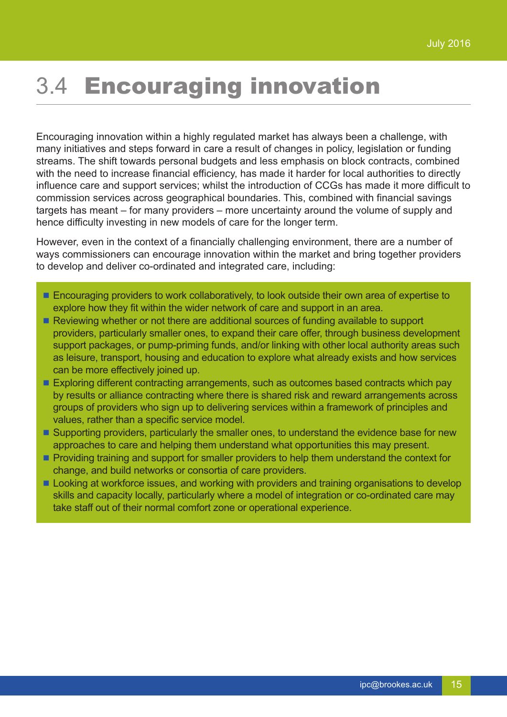### 3.4 Encouraging innovation

Encouraging innovation within a highly regulated market has always been a challenge, with many initiatives and steps forward in care a result of changes in policy, legislation or funding streams. The shift towards personal budgets and less emphasis on block contracts, combined with the need to increase financial efficiency, has made it harder for local authorities to directly influence care and support services; whilst the introduction of CCGs has made it more difficult to commission services across geographical boundaries. This, combined with financial savings targets has meant – for many providers – more uncertainty around the volume of supply and hence difficulty investing in new models of care for the longer term.

However, even in the context of a financially challenging environment, there are a number of ways commissioners can encourage innovation within the market and bring together providers to develop and deliver co-ordinated and integrated care, including:

- **Encouraging providers to work collaboratively, to look outside their own area of expertise to** explore how they fit within the wider network of care and support in an area.
- Reviewing whether or not there are additional sources of funding available to support providers, particularly smaller ones, to expand their care offer, through business development support packages, or pump-priming funds, and/or linking with other local authority areas such as leisure, transport, housing and education to explore what already exists and how services can be more effectively joined up.
- Exploring different contracting arrangements, such as outcomes based contracts which pay by results or alliance contracting where there is shared risk and reward arrangements across groups of providers who sign up to delivering services within a framework of principles and values, rather than a specific service model.
- Supporting providers, particularly the smaller ones, to understand the evidence base for new approaches to care and helping them understand what opportunities this may present.
- **Providing training and support for smaller providers to help them understand the context for** change, and build networks or consortia of care providers.
- Looking at workforce issues, and working with providers and training organisations to develop skills and capacity locally, particularly where a model of integration or co-ordinated care may take staff out of their normal comfort zone or operational experience.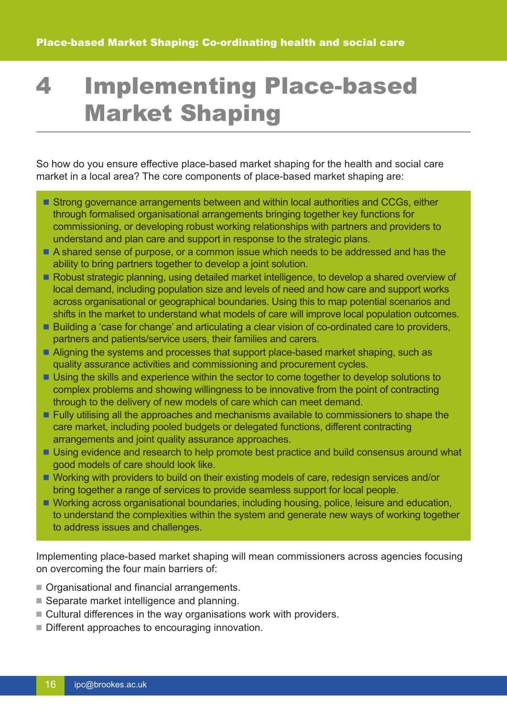## 4 Implementing Place-based Market Shaping

So how do you ensure effective place-based market shaping for the health and social care market in a local area? The core components of place-based market shaping are:

- Strong governance arrangements between and within local authorities and CCGs, either through formalised organisational arrangements bringing together key functions for commissioning, or developing robust working relationships with partners and providers to understand and plan care and support in response to the strategic plans.
- A shared sense of purpose, or a common issue which needs to be addressed and has the ability to bring partners together to develop a joint solution.
- Robust strategic planning, using detailed market intelligence, to develop a shared overview of local demand, including population size and levels of need and how care and support works across organisational or geographical boundaries. Using this to map potential scenarios and shifts in the market to understand what models of care will improve local population outcomes.
- Building a 'case for change' and articulating a clear vision of co-ordinated care to providers, partners and patients/service users, their families and carers.
- Aligning the systems and processes that support place-based market shaping, such as quality assurance activities and commissioning and procurement cycles.
- Using the skills and experience within the sector to come together to develop solutions to complex problems and showing willingness to be innovative from the point of contracting through to the delivery of new models of care which can meet demand.
- **Fully utilising all the approaches and mechanisms available to commissioners to shape the**  care market, including pooled budgets or delegated functions, different contracting arrangements and joint quality assurance approaches.
- Using evidence and research to help promote best practice and build consensus around what good models of care should look like.
- Working with providers to build on their existing models of care, redesign services and/or bring together a range of services to provide seamless support for local people.
- Working across organisational boundaries, including housing, police, leisure and education, to understand the complexities within the system and generate new ways of working together to address issues and challenges.

Implementing place-based market shaping will mean commissioners across agencies focusing on overcoming the four main barriers of:

- Organisational and financial arrangements.
- Separate market intelligence and planning.
- Cultural differences in the way organisations work with providers.
- Different approaches to encouraging innovation.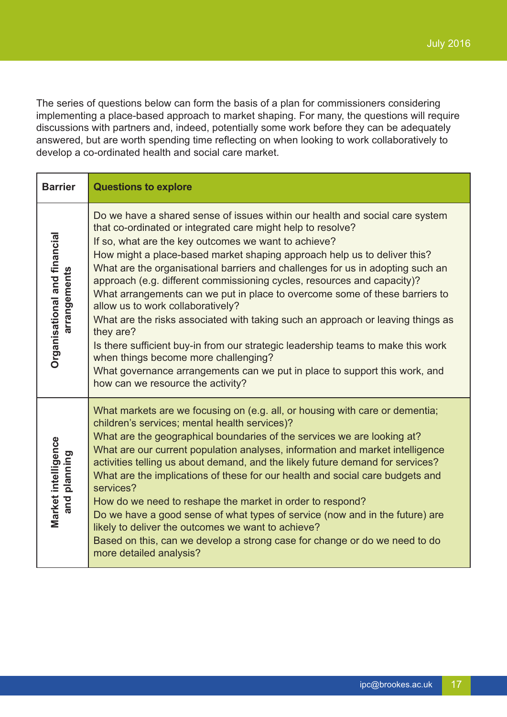The series of questions below can form the basis of a plan for commissioners considering implementing a place-based approach to market shaping. For many, the questions will require discussions with partners and, indeed, potentially some work before they can be adequately answered, but are worth spending time reflecting on when looking to work collaboratively to develop a co-ordinated health and social care market.

| <b>Barrier</b>                               | <b>Questions to explore</b>                                                                                                                                                                                                                                                                                                                                                                                                                                                                                                                                                                                                                                                                                                                                                                                                                                                                                     |
|----------------------------------------------|-----------------------------------------------------------------------------------------------------------------------------------------------------------------------------------------------------------------------------------------------------------------------------------------------------------------------------------------------------------------------------------------------------------------------------------------------------------------------------------------------------------------------------------------------------------------------------------------------------------------------------------------------------------------------------------------------------------------------------------------------------------------------------------------------------------------------------------------------------------------------------------------------------------------|
| Organisational and financial<br>arrangements | Do we have a shared sense of issues within our health and social care system<br>that co-ordinated or integrated care might help to resolve?<br>If so, what are the key outcomes we want to achieve?<br>How might a place-based market shaping approach help us to deliver this?<br>What are the organisational barriers and challenges for us in adopting such an<br>approach (e.g. different commissioning cycles, resources and capacity)?<br>What arrangements can we put in place to overcome some of these barriers to<br>allow us to work collaboratively?<br>What are the risks associated with taking such an approach or leaving things as<br>they are?<br>Is there sufficient buy-in from our strategic leadership teams to make this work<br>when things become more challenging?<br>What governance arrangements can we put in place to support this work, and<br>how can we resource the activity? |
| Market intelligence<br>planning<br>and       | What markets are we focusing on (e.g. all, or housing with care or dementia;<br>children's services; mental health services)?<br>What are the geographical boundaries of the services we are looking at?<br>What are our current population analyses, information and market intelligence<br>activities telling us about demand, and the likely future demand for services?<br>What are the implications of these for our health and social care budgets and<br>services?<br>How do we need to reshape the market in order to respond?<br>Do we have a good sense of what types of service (now and in the future) are<br>likely to deliver the outcomes we want to achieve?<br>Based on this, can we develop a strong case for change or do we need to do<br>more detailed analysis?                                                                                                                           |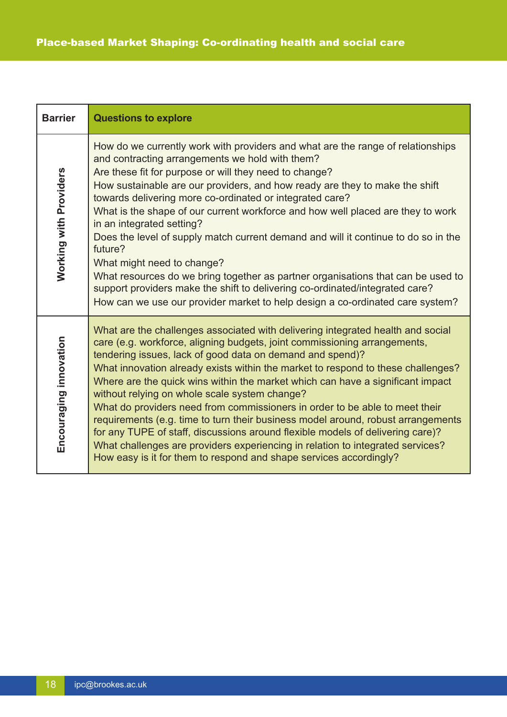| <b>Barrier</b>                | <b>Questions to explore</b>                                                                                                                                                                                                                                                                                                                                                                                                                                                                                                                                                                                                                                                                                                                                                                                                                                   |
|-------------------------------|---------------------------------------------------------------------------------------------------------------------------------------------------------------------------------------------------------------------------------------------------------------------------------------------------------------------------------------------------------------------------------------------------------------------------------------------------------------------------------------------------------------------------------------------------------------------------------------------------------------------------------------------------------------------------------------------------------------------------------------------------------------------------------------------------------------------------------------------------------------|
| <b>Working with Providers</b> | How do we currently work with providers and what are the range of relationships<br>and contracting arrangements we hold with them?<br>Are these fit for purpose or will they need to change?<br>How sustainable are our providers, and how ready are they to make the shift<br>towards delivering more co-ordinated or integrated care?<br>What is the shape of our current workforce and how well placed are they to work<br>in an integrated setting?<br>Does the level of supply match current demand and will it continue to do so in the<br>future?<br>What might need to change?<br>What resources do we bring together as partner organisations that can be used to<br>support providers make the shift to delivering co-ordinated/integrated care?<br>How can we use our provider market to help design a co-ordinated care system?                   |
| Encouraging innovation        | What are the challenges associated with delivering integrated health and social<br>care (e.g. workforce, aligning budgets, joint commissioning arrangements,<br>tendering issues, lack of good data on demand and spend)?<br>What innovation already exists within the market to respond to these challenges?<br>Where are the quick wins within the market which can have a significant impact<br>without relying on whole scale system change?<br>What do providers need from commissioners in order to be able to meet their<br>requirements (e.g. time to turn their business model around, robust arrangements<br>for any TUPE of staff, discussions around flexible models of delivering care)?<br>What challenges are providers experiencing in relation to integrated services?<br>How easy is it for them to respond and shape services accordingly? |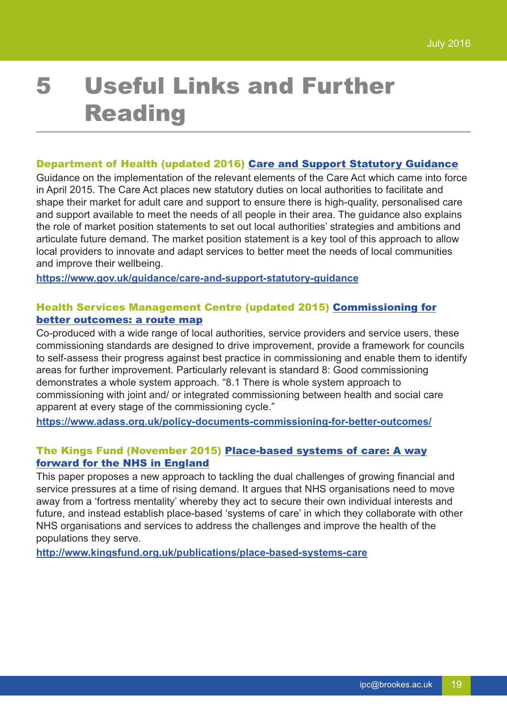# 5 Useful Links and Further Reading

#### Department of Health (updated 2016) Care and Support Statutory [Guidance](https://www.gov.uk/guidance/care-and-support-statutory-guidance)

Guidance on the implementation of the relevant elements of the Care Act which came into force in April 2015. The Care Act places new statutory duties on local authorities to facilitate and shape their market for adult care and support to ensure there is high-quality, personalised care and support available to meet the needs of all people in their area. The guidance also explains the role of market position statements to set out local authorities' strategies and ambitions and articulate future demand. The market position statement is a key tool of this approach to allow local providers to innovate and adapt services to better meet the needs of local communities and improve their wellbeing.

**<https://www.gov.uk/guidance/care-and-support-statutory-guidance>**

### Health Services Management Centre (updated 2015) [Commissioning](https://www.adass.org.uk/policy-documents-commissioning-for-better-outcomes/) for better [outcomes:](https://www.adass.org.uk/policy-documents-commissioning-for-better-outcomes/) a route map

Co-produced with a wide range of local authorities, service providers and service users, these commissioning standards are designed to drive improvement, provide a framework for councils to self-assess their progress against best practice in commissioning and enable them to identify areas for further improvement. Particularly relevant is standard 8: Good commissioning demonstrates a whole system approach. "8.1 There is whole system approach to commissioning with joint and/ or integrated commissioning between health and social care apparent at every stage of the commissioning cycle."

**<https://www.adass.org.uk/policy-documents-commissioning-for-better-outcomes/>**

#### The Kings Fund (November 2015) [Place-based](http://www.kingsfund.org.uk/publications/options-integrated-commissioning) systems of care: A way forward for the NHS in [England](http://www.kingsfund.org.uk/publications/options-integrated-commissioning)

This paper proposes a new approach to tackling the dual challenges of growing financial and service pressures at a time of rising demand. It argues that NHS organisations need to move away from a 'fortress mentality' whereby they act to secure their own individual interests and future, and instead establish place-based 'systems of care' in which they collaborate with other NHS organisations and services to address the challenges and improve the health of the populations they serve.

**<http://www.kingsfund.org.uk/publications/place-based-systems-care>**